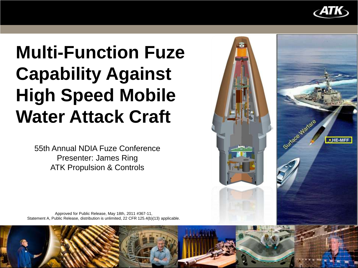

# **Multi-Function Fuze Capability Against High Speed Mobile Water Attack Craft**

55th Annual NDIA Fuze Conference Presenter: James Ring ATK Propulsion & Controls



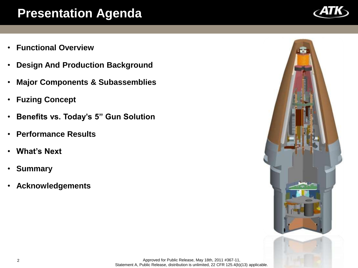#### **Presentation Agenda**

- **Functional Overview**
- **Design And Production Background**
- **Major Components & Subassemblies**
- **Fuzing Concept**
- **Benefits vs. Today's 5" Gun Solution**
- **Performance Results**
- **What's Next**
- **Summary**
- **Acknowledgements**

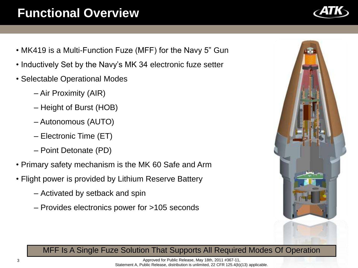### **Functional Overview**

- MK419 is a Multi-Function Fuze (MFF) for the Navy 5" Gun
- Inductively Set by the Navy's MK 34 electronic fuze setter
- Selectable Operational Modes
	- Air Proximity (AIR)
	- Height of Burst (HOB)
	- Autonomous (AUTO)
	- Electronic Time (ET)
	- Point Detonate (PD)
- Primary safety mechanism is the MK 60 Safe and Arm
- Flight power is provided by Lithium Reserve Battery
	- Activated by setback and spin
	- Provides electronics power for >105 seconds



#### MFF Is A Single Fuze Solution That Supports All Required Modes Of Operation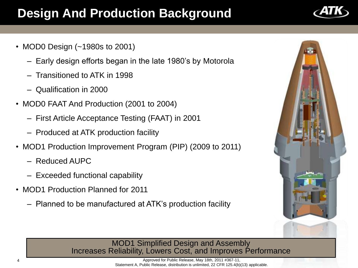### **Design And Production Background**

- MOD0 Design (~1980s to 2001)
	- Early design efforts began in the late 1980's by Motorola
	- Transitioned to ATK in 1998
	- Qualification in 2000
- MOD0 FAAT And Production (2001 to 2004)
	- First Article Acceptance Testing (FAAT) in 2001
	- Produced at ATK production facility
- MOD1 Production Improvement Program (PIP) (2009 to 2011)
	- Reduced AUPC
	- Exceeded functional capability
- MOD1 Production Planned for 2011
	- Planned to be manufactured at ATK's production facility



#### MOD1 Simplified Design and Assembly Increases Reliability, Lowers Cost, and Improves Performance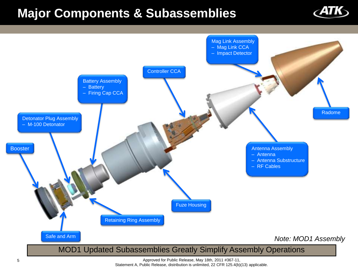#### **Major Components & Subassemblies**





Approved for Public Release, May 18th, 2011 #367-11, Statement A, Public Release, distribution is unlimited, 22 CFR 125.4(b)(13) applicable.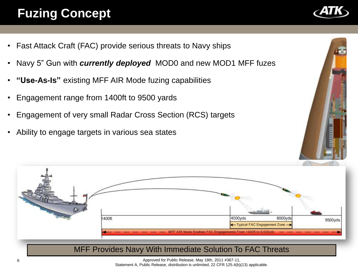## **Fuzing Concept**

- Fast Attack Craft (FAC) provide serious threats to Navy ships
- Navy 5" Gun with *currently deployed* MOD0 and new MOD1 MFF fuzes
- **"Use-As-Is"** existing MFF AIR Mode fuzing capabilities
- Engagement range from 1400ft to 9500 yards
- Engagement of very small Radar Cross Section (RCS) targets
- Ability to engage targets in various sea states





Approved for Public Release, May 18th, 2011 #367-11,

Statement A, Public Release, distribution is unlimited, 22 CFR 125.4(b)(13) applicable.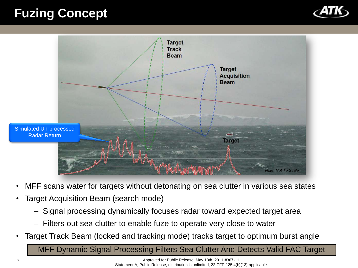#### **Fuzing Concept**





- MFF scans water for targets without detonating on sea clutter in various sea states
- Target Acquisition Beam (search mode)
	- Signal processing dynamically focuses radar toward expected target area
	- Filters out sea clutter to enable fuze to operate very close to water
- Target Track Beam (locked and tracking mode) tracks target to optimum burst angle

MFF Dynamic Signal Processing Filters Sea Clutter And Detects Valid FAC Target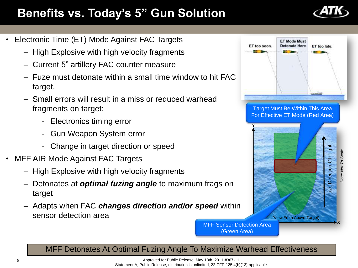#### **Benefits vs. Today's 5" Gun Solution**

- Electronic Time (ET) Mode Against FAC Targets
	- High Explosive with high velocity fragments
	- Current 5" artillery FAC counter measure
	- Fuze must detonate within a small time window to hit FAC target.
	- Small errors will result in a miss or reduced warhead fragments on target:
		- Electronics timing error
		- Gun Weapon System error
		- Change in target direction or speed
- MFF AIR Mode Against FAC Targets
	- High Explosive with high velocity fragments
	- Detonates at *optimal fuzing angle* to maximum frags on target
	- Adapts when FAC *changes direction and/or speed* within sensor detection area



MFF Sensor Detection Area (Green Area)

MFF Detonates At Optimal Fuzing Angle To Maximize Warhead Effectiveness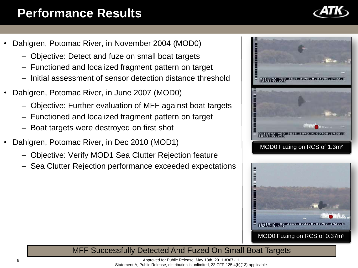#### **Performance Results**

- Dahlgren, Potomac River, in November 2004 (MOD0)
	- Objective: Detect and fuze on small boat targets
	- Functioned and localized fragment pattern on target
	- Initial assessment of sensor detection distance threshold
- Dahlgren, Potomac River, in June 2007 (MOD0)
	- Objective: Further evaluation of MFF against boat targets
	- Functioned and localized fragment pattern on target
	- Boat targets were destroyed on first shot
- Dahlgren, Potomac River, in Dec 2010 (MOD1)
	- Objective: Verify MOD1 Sea Clutter Rejection feature
	- Sea Clutter Rejection performance exceeded expectations





#### MFF Successfully Detected And Fuzed On Small Boat Targets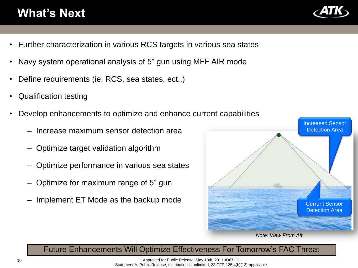#### **What's Next**

- Further characterization in various RCS targets in various sea states
- Navy system operational analysis of 5" gun using MFF AIR mode
- Define requirements (ie: RCS, sea states, ect..)
- Qualification testing
- Develop enhancements to optimize and enhance current capabilities
	- Increase maximum sensor detection area
	- Optimize target validation algorithm
	- Optimize performance in various sea states
	- Optimize for maximum range of 5" gun
	- Implement ET Mode as the backup mode



*Note: View From Aft*

#### Future Enhancements Will Optimize Effectiveness For Tomorrow's FAC Threat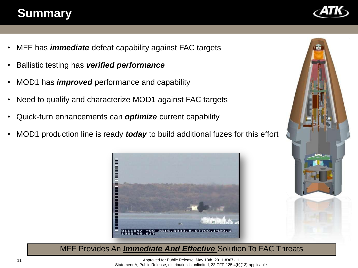#### **Summary**

- MFF has *immediate* defeat capability against FAC targets
- Ballistic testing has *verified performance*
- MOD1 has *improved* performance and capability
- Need to qualify and characterize MOD1 against FAC targets
- Quick-turn enhancements can *optimize* current capability
- MOD1 production line is ready *today* to build additional fuzes for this effort





MFF Provides An *Immediate And Effective* Solution To FAC Threats